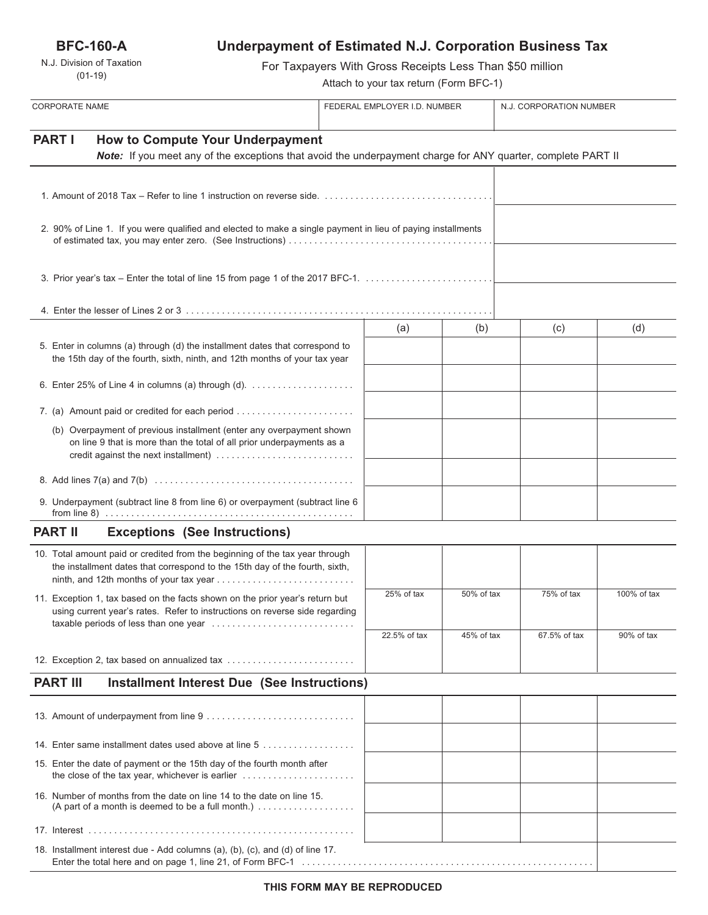**BFC-160-A**

N.J. Division of Taxation (01-19)

# **Underpayment of Estimated N.J. Corporation Business Tax**

For Taxpayers With Gross Receipts Less Than \$50 million

Attach to your tax return (Form BFC-1)

| <b>CORPORATE NAME</b>                                                                                                                                                    |                                                                                                                                                                                       | FEDERAL EMPLOYER I.D. NUMBER |              | N.J. CORPORATION NUMBER |              |             |
|--------------------------------------------------------------------------------------------------------------------------------------------------------------------------|---------------------------------------------------------------------------------------------------------------------------------------------------------------------------------------|------------------------------|--------------|-------------------------|--------------|-------------|
| <b>PART I</b><br><b>How to Compute Your Underpayment</b><br>Note: If you meet any of the exceptions that avoid the underpayment charge for ANY quarter, complete PART II |                                                                                                                                                                                       |                              |              |                         |              |             |
|                                                                                                                                                                          |                                                                                                                                                                                       |                              |              |                         |              |             |
|                                                                                                                                                                          | 2. 90% of Line 1. If you were qualified and elected to make a single payment in lieu of paying installments                                                                           |                              |              |                         |              |             |
|                                                                                                                                                                          |                                                                                                                                                                                       |                              |              |                         |              |             |
| 3. Prior year's tax - Enter the total of line 15 from page 1 of the 2017 BFC-1.                                                                                          |                                                                                                                                                                                       |                              |              |                         |              |             |
|                                                                                                                                                                          |                                                                                                                                                                                       |                              |              |                         |              |             |
|                                                                                                                                                                          | 5. Enter in columns (a) through (d) the installment dates that correspond to<br>the 15th day of the fourth, sixth, ninth, and 12th months of your tax year                            |                              | (a)          | (b)                     | (c)          | (d)         |
|                                                                                                                                                                          | 6. Enter 25% of Line 4 in columns (a) through (d). $\ldots$                                                                                                                           |                              |              |                         |              |             |
|                                                                                                                                                                          |                                                                                                                                                                                       |                              |              |                         |              |             |
|                                                                                                                                                                          | (b) Overpayment of previous installment (enter any overpayment shown<br>on line 9 that is more than the total of all prior underpayments as a<br>credit against the next installment) |                              |              |                         |              |             |
|                                                                                                                                                                          |                                                                                                                                                                                       |                              |              |                         |              |             |
|                                                                                                                                                                          | 9. Underpayment (subtract line 8 from line 6) or overpayment (subtract line 6                                                                                                         |                              |              |                         |              |             |
| <b>PART II</b>                                                                                                                                                           | <b>Exceptions (See Instructions)</b>                                                                                                                                                  |                              |              |                         |              |             |
|                                                                                                                                                                          | 10. Total amount paid or credited from the beginning of the tax year through<br>the installment dates that correspond to the 15th day of the fourth, sixth,                           |                              |              |                         |              |             |
|                                                                                                                                                                          | 11. Exception 1, tax based on the facts shown on the prior year's return but<br>using current year's rates. Refer to instructions on reverse side regarding                           |                              | 25% of tax   | 50% of tax              | 75% of tax   | 100% of tax |
|                                                                                                                                                                          |                                                                                                                                                                                       |                              | 22.5% of tax | 45% of tax              | 67.5% of tax | 90% of tax  |
|                                                                                                                                                                          | 12. Exception 2, tax based on annualized tax                                                                                                                                          |                              |              |                         |              |             |
|                                                                                                                                                                          | <b>PART III</b><br><b>Installment Interest Due (See Instructions)</b>                                                                                                                 |                              |              |                         |              |             |
|                                                                                                                                                                          |                                                                                                                                                                                       |                              |              |                         |              |             |
|                                                                                                                                                                          | 14. Enter same installment dates used above at line 5                                                                                                                                 |                              |              |                         |              |             |
|                                                                                                                                                                          | 15. Enter the date of payment or the 15th day of the fourth month after<br>the close of the tax year, whichever is earlier                                                            |                              |              |                         |              |             |
|                                                                                                                                                                          | 16. Number of months from the date on line 14 to the date on line 15.<br>(A part of a month is deemed to be a full month.)                                                            |                              |              |                         |              |             |
|                                                                                                                                                                          |                                                                                                                                                                                       |                              |              |                         |              |             |
|                                                                                                                                                                          | 18. Installment interest due - Add columns (a), (b), (c), and (d) of line 17.                                                                                                         |                              |              |                         |              |             |